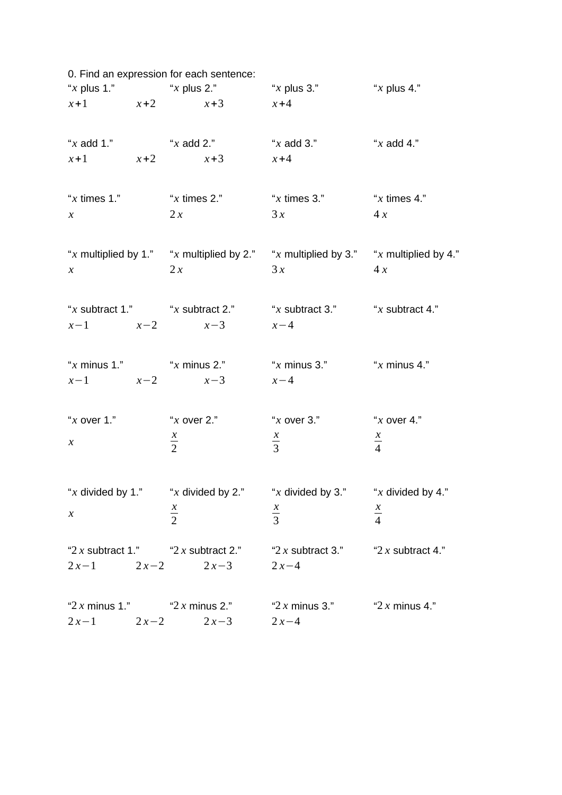|                                 |        | 0. Find an expression for each sentence:   |                                                                                               |                   |
|---------------------------------|--------|--------------------------------------------|-----------------------------------------------------------------------------------------------|-------------------|
|                                 |        |                                            | "x plus 1." $x \times x$ plus 2." $x \times x$ plus 3." $x \times x$ plus 4."                 |                   |
|                                 |        | $x+1$ $x+2$ $x+3$ $x+4$                    |                                                                                               |                   |
|                                 |        |                                            |                                                                                               |                   |
|                                 |        | $x+1$ $x+2$ $x+3$ $x+4$                    |                                                                                               |                   |
|                                 |        |                                            | "x times 1." $x \times x$ times 2." $x \times x$ times 3." $x \times x$ times 4."             |                   |
| $\chi$                          |        | 2x                                         | 3x                                                                                            | 4x                |
|                                 |        |                                            | "x multiplied by 1." "x multiplied by 2." "x multiplied by 3." "x multiplied by 4."           |                   |
| $\chi$                          |        | 2x                                         | 3x                                                                                            | 4x                |
|                                 |        |                                            | "x subtract 1." $x \times x$ subtract 2." $x \times x$ subtract 3." $x \times x$ subtract 4." |                   |
|                                 |        | $x-1$ $x-2$ $x-3$ $x-4$                    |                                                                                               |                   |
|                                 |        |                                            | "x minus 1." $x \text{ minus } 2$ ." $x \text{ minus } 3$ ." $x \text{ minus } 4$ ."          |                   |
|                                 |        | $x-1$ $x-2$ $x-3$ $x-4$                    |                                                                                               |                   |
|                                 |        |                                            | "x over 1." $x \text{ over } 2$ ." $x \text{ over } 3$ ." $x \text{ over } 4$ ."              |                   |
|                                 |        |                                            |                                                                                               |                   |
| $\chi$                          |        | $\frac{x}{2}$                              | $rac{x}{3}$                                                                                   | $rac{x}{4}$       |
|                                 |        |                                            | "x divided by 1." "x divided by 2." "x divided by 3." "x divided by 4."                       |                   |
|                                 |        |                                            |                                                                                               |                   |
| $\boldsymbol{X}$                |        | $\frac{x}{2}$                              | $rac{x}{3}$                                                                                   | $rac{x}{4}$       |
|                                 |        | " $2x$ subtract 1."<br>" $2x$ subtract 2." | "2 x subtract 3."                                                                             | "2 x subtract 4." |
| $2x-1$ $2x-2$                   |        | $2x-3$                                     | $2x - 4$                                                                                      |                   |
| " $2x$ minus 1." $2x$ minus 2." |        |                                            | "2 $x$ minus 3."                                                                              | "2 $x$ minus 4."  |
| $2x-1$                          | $2x-2$ | $2x-3$                                     | $2x - 4$                                                                                      |                   |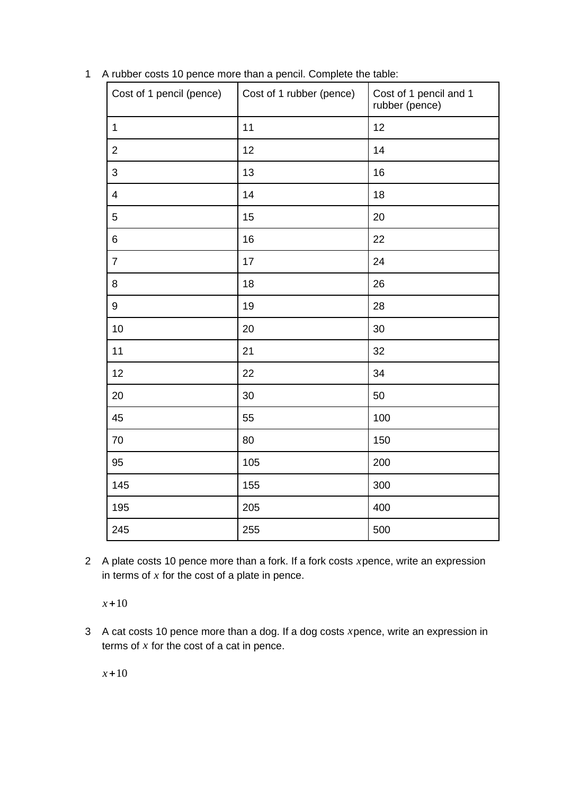| Cost of 1 pencil (pence) | Cost of 1 rubber (pence) | Cost of 1 pencil and 1<br>rubber (pence) |
|--------------------------|--------------------------|------------------------------------------|
| $1\,$                    | $11\,$                   | 12                                       |
| $\overline{c}$           | 12                       | 14                                       |
| 3                        | 13                       | 16                                       |
| $\overline{\mathcal{A}}$ | 14                       | 18                                       |
| 5                        | 15                       | 20                                       |
| 6                        | 16                       | 22                                       |
| $\overline{7}$           | 17                       | 24                                       |
| 8                        | 18                       | 26                                       |
| 9                        | 19                       | 28                                       |
| 10                       | 20                       | 30                                       |
| 11                       | 21                       | 32                                       |
| 12                       | 22                       | 34                                       |
| 20                       | 30                       | 50                                       |
| 45                       | 55                       | 100                                      |
| $70\,$                   | 80                       | 150                                      |
| 95                       | 105                      | 200                                      |
| 145                      | 155                      | 300                                      |
| 195                      | 205                      | 400                                      |
| 245                      | 255                      | 500                                      |

A rubber costs 10 pence more than a pencil. Complete the table:

 A plate costs 10 pence more than a fork. If a fork costs *x*pence, write an expression in terms of *x* for the cost of a plate in pence.

*x*+10

 A cat costs 10 pence more than a dog. If a dog costs *x*pence, write an expression in terms of *x* for the cost of a cat in pence.

*x*+10